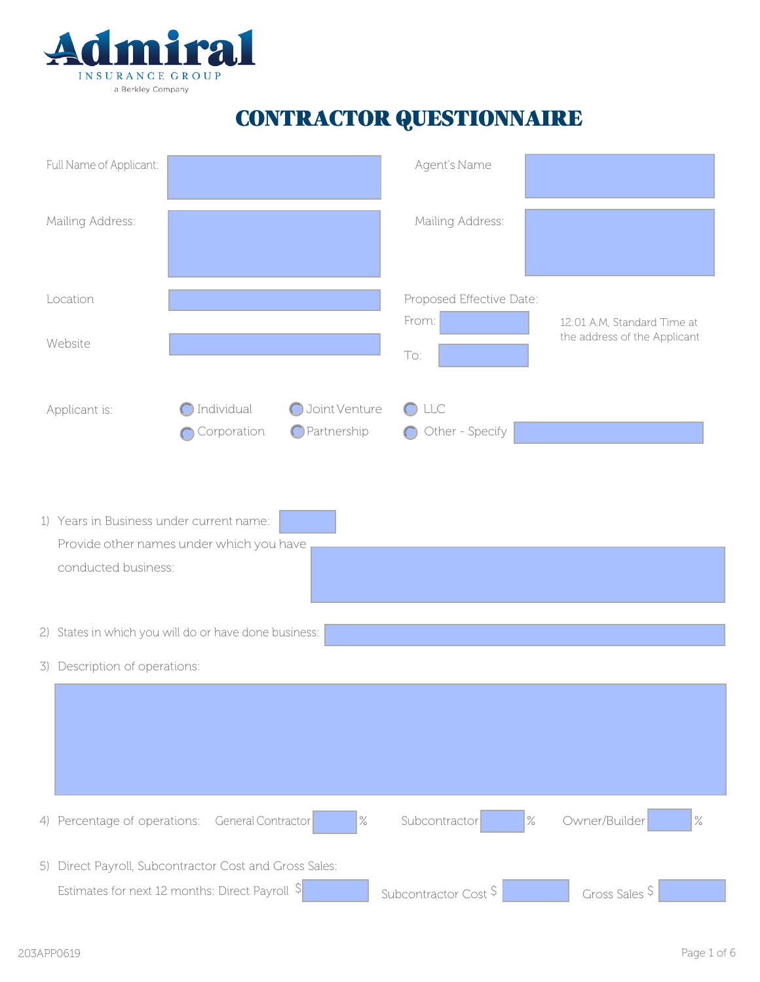

## CONTRACTOR QUESTIONNAIRE

| Full Name of Applicant:                                         |                                                        |                              | Agent's Name                      |                                                             |
|-----------------------------------------------------------------|--------------------------------------------------------|------------------------------|-----------------------------------|-------------------------------------------------------------|
| Mailing Address:                                                |                                                        |                              | Mailing Address:                  |                                                             |
| Location                                                        |                                                        |                              | Proposed Effective Date:          |                                                             |
| Website                                                         |                                                        |                              | From:<br>To:                      | 12:01 A.M, Standard Time at<br>the address of the Applicant |
| Applicant is:                                                   | Individual<br>Corporation                              | Joint Venture<br>Partnership | $\bigcirc$ LLC<br>Other - Specify |                                                             |
| 1) Years in Business under current name:<br>conducted business: | Provide other names under which you have               |                              |                                   |                                                             |
|                                                                 | 2) States in which you will do or have done business:  |                              |                                   |                                                             |
| 3) Description of operations:                                   |                                                        |                              |                                   |                                                             |
|                                                                 |                                                        |                              |                                   |                                                             |
|                                                                 | 4) Percentage of operations: General Contractor        | $\%$                         | Subcontractor                     | Owner/Builder<br>$\frac{9}{6}$<br>$\%$                      |
|                                                                 | 5) Direct Payroll, Subcontractor Cost and Gross Sales: |                              |                                   |                                                             |
|                                                                 | Estimates for next 12 months: Direct Payroll S         |                              | Subcontractor Cost \$             | Gross Sales \$                                              |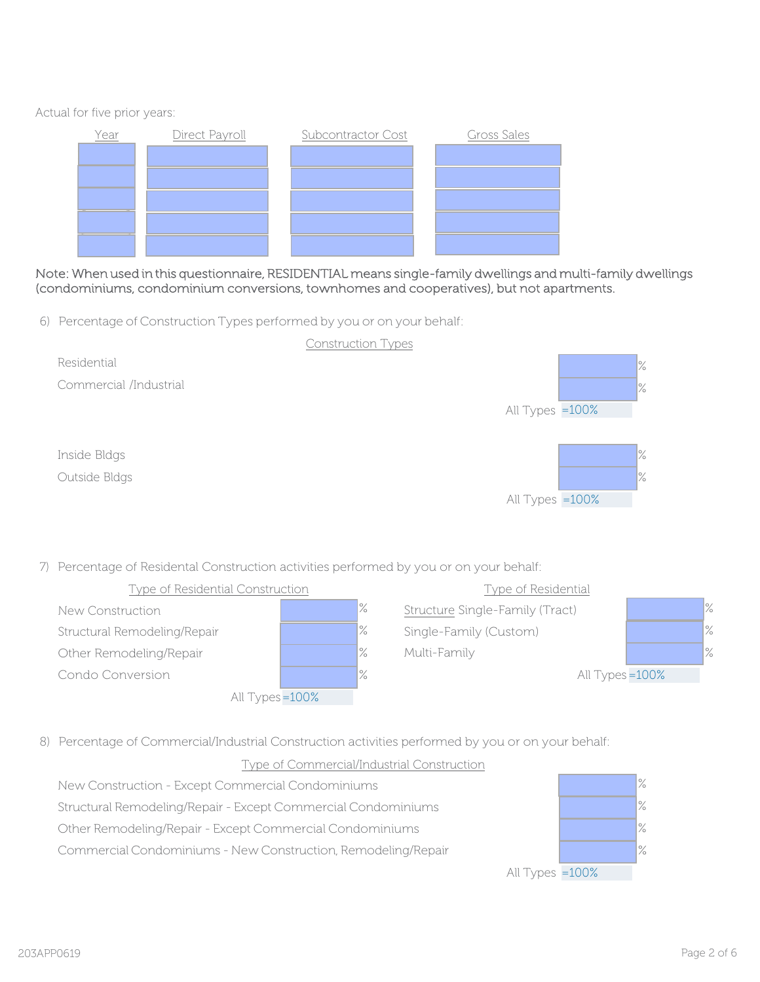Actual for five prior years:



Note: When used in this questionnaire, RESIDENTIAL means single-family dwellings and multi-family dwellings (condominiums, condominium conversions, townhomes and cooperatives), but not apartments.

6) Percentage of Construction Types performed by you or on your behalf:



7) Percentage of Residental Construction activities performed by you or on your behalf:



8) Percentage of Commercial/Industrial Construction activities performed by you or on your behalf:

## Type of Commercial/Industrial Construction



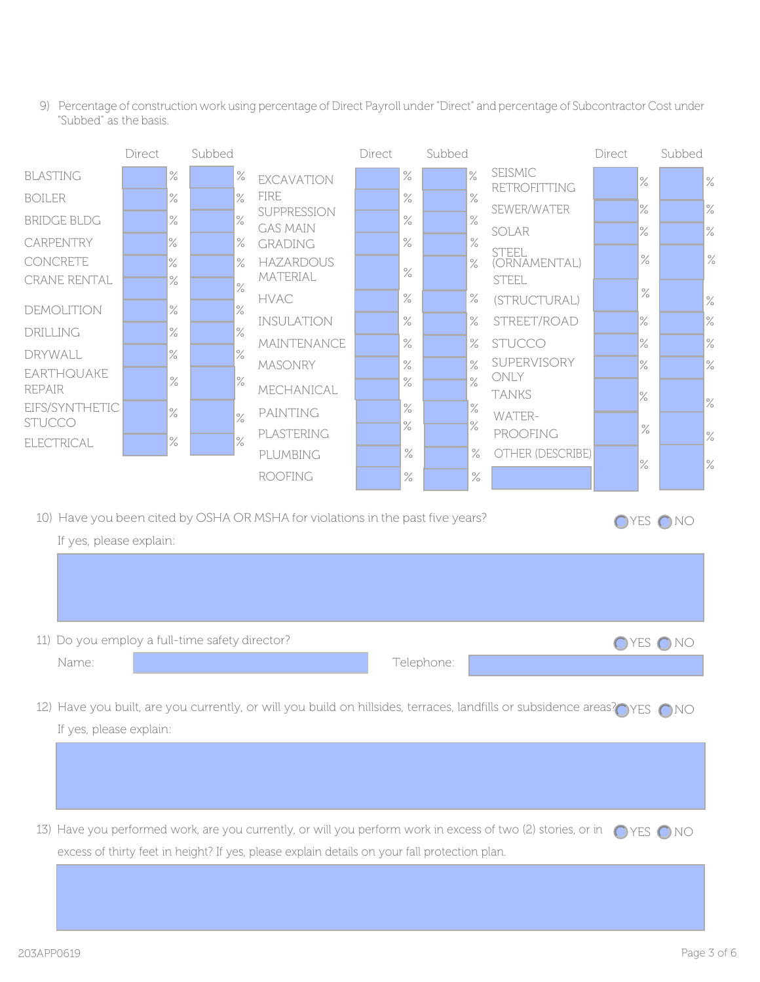9) Percentage of construction work using percentage of Direct Payroll under "Direct" and percentage of Subcontractor Cost under "Subbed" as the basis.

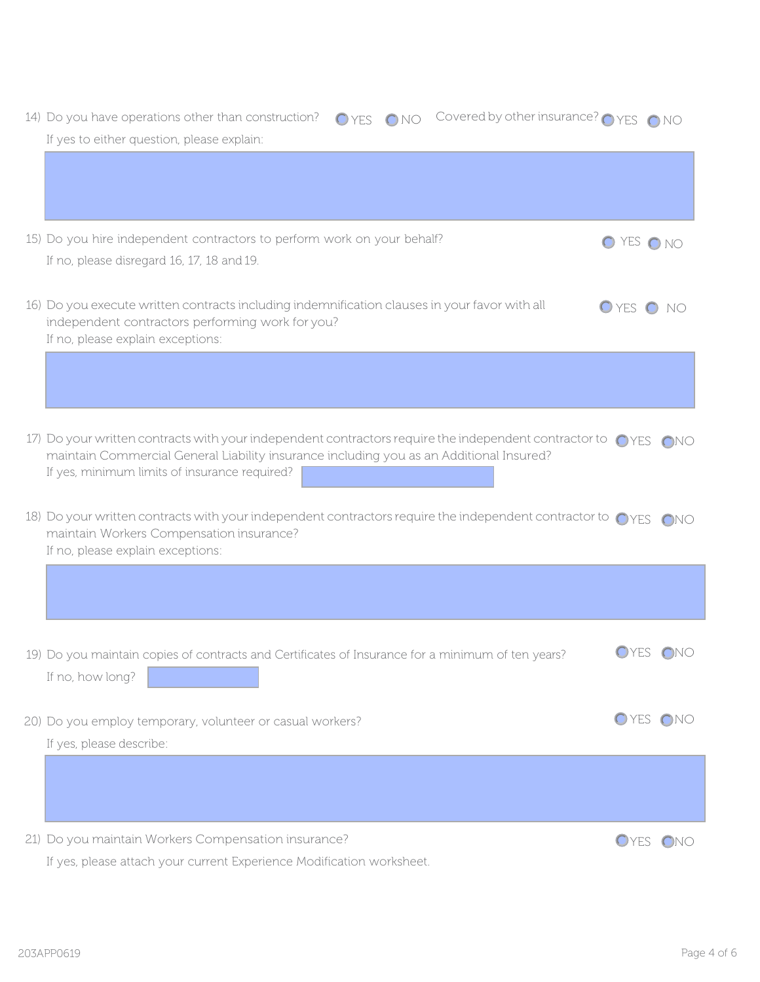| O YES ONO Covered by other insurance? O YES ONO<br>14) Do you have operations other than construction?<br>If yes to either question, please explain:                                                                                                       |              |     |  |  |  |
|------------------------------------------------------------------------------------------------------------------------------------------------------------------------------------------------------------------------------------------------------------|--------------|-----|--|--|--|
|                                                                                                                                                                                                                                                            |              |     |  |  |  |
| 15) Do you hire independent contractors to perform work on your behalf?                                                                                                                                                                                    | O YES ONO    |     |  |  |  |
| If no, please disregard 16, 17, 18 and 19.                                                                                                                                                                                                                 |              |     |  |  |  |
| 16) Do you execute written contracts including indemnification clauses in your favor with all<br>independent contractors performing work for you?<br>If no, please explain exceptions:                                                                     | O YES O NO   |     |  |  |  |
|                                                                                                                                                                                                                                                            |              |     |  |  |  |
| 17) Do your written contracts with your independent contractors require the independent contractor to OYES ONO<br>maintain Commercial General Liability insurance including you as an Additional Insured?<br>If yes, minimum limits of insurance required? |              |     |  |  |  |
| 18) Do your written contracts with your independent contractors require the independent contractor to OYES ONO<br>maintain Workers Compensation insurance?<br>If no, please explain exceptions:                                                            |              |     |  |  |  |
|                                                                                                                                                                                                                                                            |              |     |  |  |  |
| 19) Do you maintain copies of contracts and Certificates of Insurance for a minimum of ten years?<br>If no, how long?                                                                                                                                      | OYES ONO     |     |  |  |  |
| 20) Do you employ temporary, volunteer or casual workers?<br>If yes, please describe:                                                                                                                                                                      | OYES ONO     |     |  |  |  |
|                                                                                                                                                                                                                                                            |              |     |  |  |  |
| 21) Do you maintain Workers Compensation insurance?                                                                                                                                                                                                        | <b>O</b> YES | ONO |  |  |  |

If yes, please attach your current Experience Modification worksheet.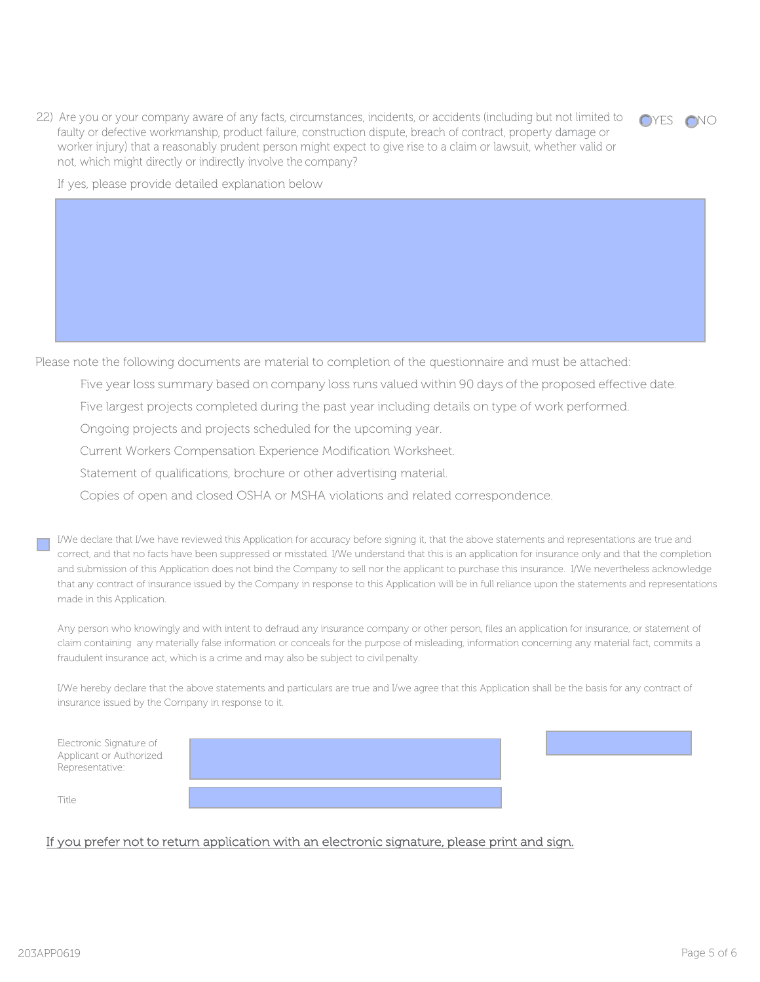22) Are you or your company aware of any facts, circumstances, incidents, or accidents (including but not limited to faulty or defective workmanship, product failure, construction dispute, breach of contract, property damage or worker injury) that a reasonably prudent person might expect to give rise to a claim or lawsuit, whether valid or not, which might directly or indirectly involve the company?



If yes, please provide detailed explanation below

Please note the following documents are material to completion of the questionnaire and must be attached:

- Five year loss summary based on company loss runs valued within 90 days of the proposed effective date.
- Five largest projects completed during the past year including details on type of work performed.
- Ongoing projects and projects scheduled for the upcoming year.
- Current Workers Compensation Experience Modification Worksheet.
- Statement of qualifications, brochure or other advertising material.
- Copies of open and closed OSHA or MSHA violations and related correspondence.

I/We declare that I/we have reviewed this Application for accuracy before signing it, that the above statements and representations are true and correct, and that no facts have been suppressed or misstated. I/We understand that this is an application for insurance only and that the completion and submission of this Application does not bind the Company to sell nor the applicant to purchase this insurance. I/We nevertheless acknowledge that any contract of insurance issued by the Company in response to this Application will be in full reliance upon the statements and representations made in this Application.

Any person who knowingly and with intent to defraud any insurance company or other person, files an application for insurance, or statement of claim containing any materially false information or conceals for the purpose of misleading, information concerning any material fact, commits a fraudulent insurance act, which is a crime and may also be subject to civil penalty.

I/We hereby declare that the above statements and particulars are true and I/we agree that this Application shall be the basis for any contract of insurance issued by the Company in response to it.

| Electronic Signature of<br>Applicant or Authorized<br>Representative: |  |  |
|-----------------------------------------------------------------------|--|--|
| Title                                                                 |  |  |

## If you prefer not to return application with an electronic signature, please print and sign.